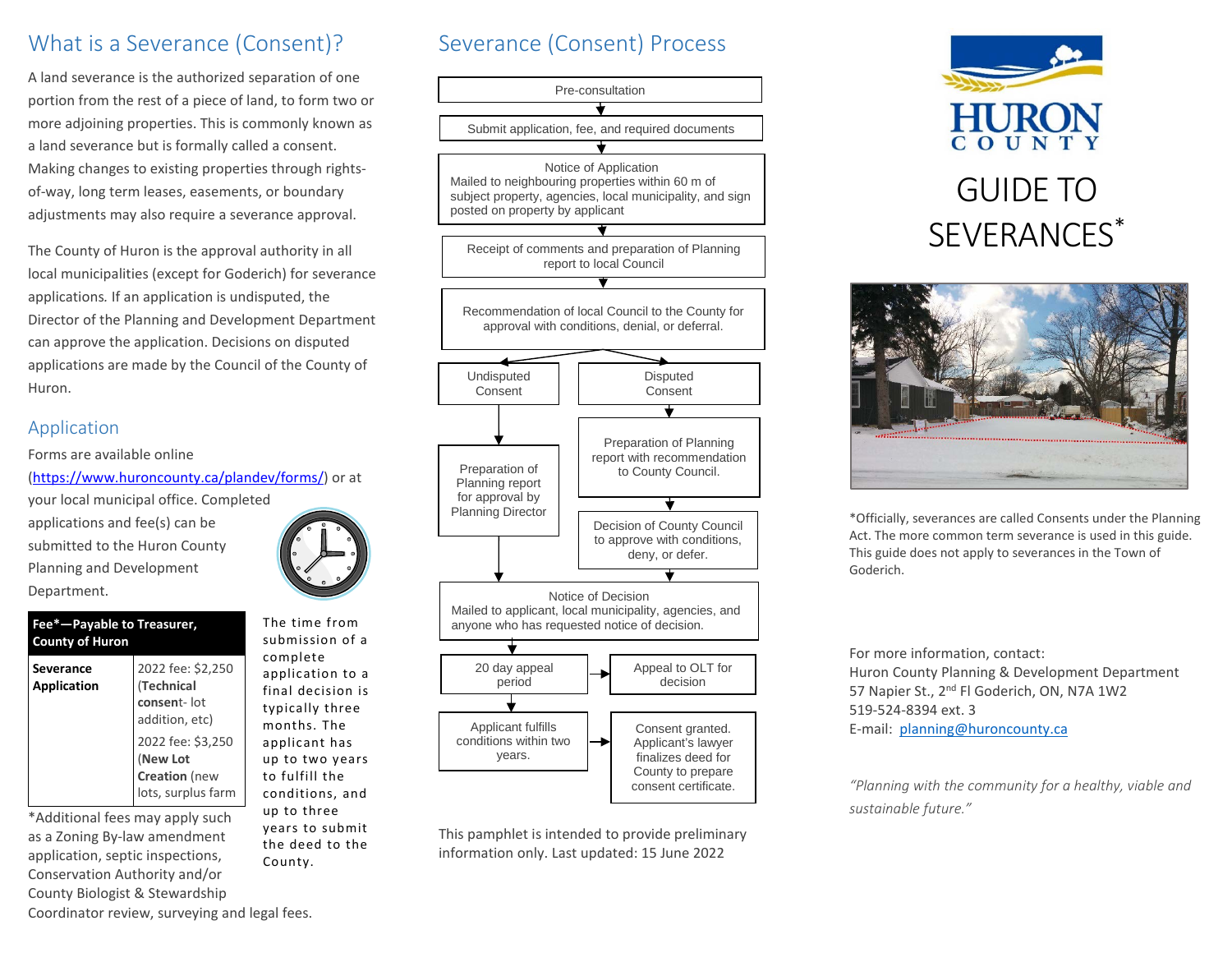# What is a Severance (Consent)?

A land severance is the authorized separation of one portion from the rest of a piece of land, to form two or more adjoining properties. This is commonly known as a land severance but is formally called a consent. Making changes to existing properties through rightsof-way, long term leases, easements, or boundary adjustments may also require a severance approval.

The County of Huron is the approval authority in all local municipalities (except for Goderich) for severance applications*.* If an application is undisputed, the Director of the Planning and Development Department can approve the application. Decisions on disputed applications are made by the Council of the County of Huron.

#### Application

Forms are available online

[\(https://www.huroncounty.ca/plandev/forms/\)](https://www.huroncounty.ca/plandev/forms/) or at

your local municipal office. Completed applications and fee(s) can be submitted to the Huron County Planning and Development Department.

#### **Fee\*—Payable to Treasurer, County of Huron Severance Application** 2022 fee: \$2,250 (**Technical consen**t- lot addition, etc) 2022 fee: \$3,250 (**New Lot**

\*Additional fees may apply such as a Zoning By-law amendment application, septic inspections, Conservation Authority and/or County Biologist & Stewardship



The time from submission of a complete application to a final decision is typically three months. The applicant has up to two years to fulfill the conditions, and up to three years to submit the deed to the County.

# Severance (Consent) Process



This pamphlet is intended to provide preliminary information only. Last updated: 15 June 2022





\*Officially, severances are called Consents under the Planning Act. The more common term severance is used in this guide. This guide does not apply to severances in the Town of Goderich.

For more information, contact: Huron County Planning & Development Department 57 Napier St., 2<sup>nd</sup> Fl Goderich, ON, N7A 1W2 519-524-8394 ext. 3 E-mail: [planning@huroncounty.ca](mailto:planning@huroncounty.ca)

*"Planning with the community for a healthy, viable and sustainable future."*

Coordinator review, surveying and legal fees.

**Creation** (new lots, surplus farm